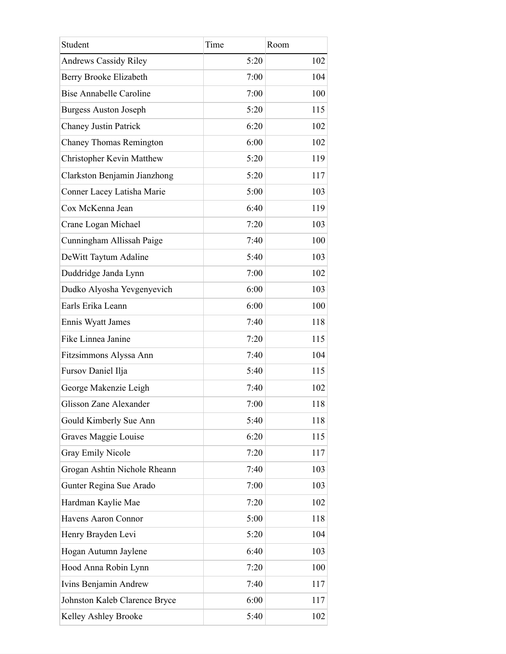| Student                          | Time | Room |
|----------------------------------|------|------|
| <b>Andrews Cassidy Riley</b>     | 5:20 | 102  |
| Berry Brooke Elizabeth           | 7:00 | 104  |
| <b>Bise Annabelle Caroline</b>   | 7:00 | 100  |
| <b>Burgess Auston Joseph</b>     | 5:20 | 115  |
| <b>Chaney Justin Patrick</b>     | 6:20 | 102  |
| Chaney Thomas Remington          | 6:00 | 102  |
| <b>Christopher Kevin Matthew</b> | 5:20 | 119  |
| Clarkston Benjamin Jianzhong     | 5:20 | 117  |
| Conner Lacey Latisha Marie       | 5:00 | 103  |
| Cox McKenna Jean                 | 6:40 | 119  |
| Crane Logan Michael              | 7:20 | 103  |
| Cunningham Allissah Paige        | 7:40 | 100  |
| DeWitt Taytum Adaline            | 5:40 | 103  |
| Duddridge Janda Lynn             | 7:00 | 102  |
| Dudko Alyosha Yevgenyevich       | 6:00 | 103  |
| Earls Erika Leann                | 6:00 | 100  |
| Ennis Wyatt James                | 7:40 | 118  |
| Fike Linnea Janine               | 7:20 | 115  |
| Fitzsimmons Alyssa Ann           | 7:40 | 104  |
| Fursov Daniel Ilja               | 5:40 | 115  |
| George Makenzie Leigh            | 7:40 | 102  |
| Glisson Zane Alexander           | 7:00 | 118  |
| Gould Kimberly Sue Ann           | 5:40 | 118  |
| Graves Maggie Louise             | 6:20 | 115  |
| <b>Gray Emily Nicole</b>         | 7:20 | 117  |
| Grogan Ashtin Nichole Rheann     | 7:40 | 103  |
| Gunter Regina Sue Arado          | 7:00 | 103  |
| Hardman Kaylie Mae               | 7:20 | 102  |
| Havens Aaron Connor              | 5:00 | 118  |
| Henry Brayden Levi               | 5:20 | 104  |
| Hogan Autumn Jaylene             | 6:40 | 103  |
| Hood Anna Robin Lynn             | 7:20 | 100  |
| Ivins Benjamin Andrew            | 7:40 | 117  |
| Johnston Kaleb Clarence Bryce    | 6:00 | 117  |
| Kelley Ashley Brooke             | 5:40 | 102  |